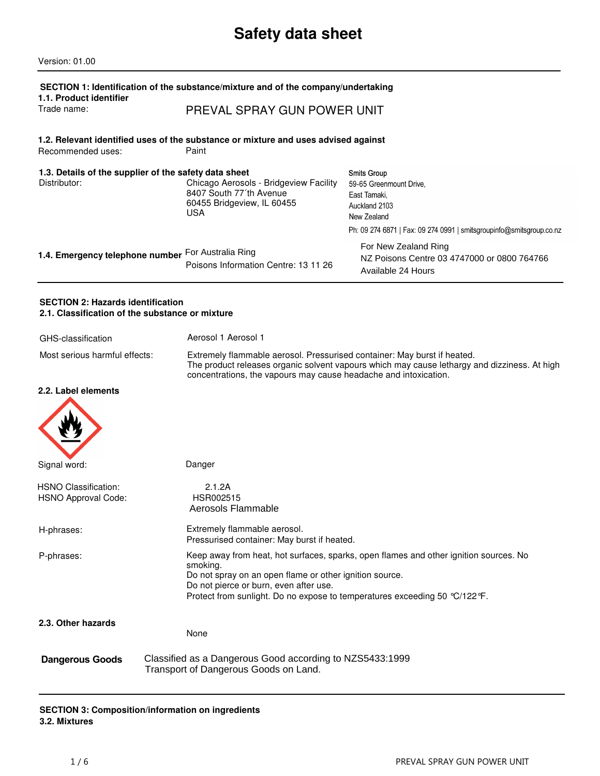# **Safety data sheet**

| Version: 01.00                                                                              |                                                                                                                                                                                             |                                                                                                                                                                       |
|---------------------------------------------------------------------------------------------|---------------------------------------------------------------------------------------------------------------------------------------------------------------------------------------------|-----------------------------------------------------------------------------------------------------------------------------------------------------------------------|
| 1.1. Product identifier<br>Trade name:                                                      | SECTION 1: Identification of the substance/mixture and of the company/undertaking<br>PREVAL SPRAY GUN POWER UNIT                                                                            |                                                                                                                                                                       |
| Recommended uses:                                                                           | 1.2. Relevant identified uses of the substance or mixture and uses advised against<br>Paint                                                                                                 |                                                                                                                                                                       |
| 1.3. Details of the supplier of the safety data sheet<br>Distributor:                       | Chicago Aerosols - Bridgeview Facility<br>8407 South 77'th Avenue<br>60455 Bridgeview, IL 60455<br><b>USA</b>                                                                               | <b>Smits Group</b><br>59-65 Greenmount Drive,<br>East Tamaki.<br>Auckland 2103<br>New Zealand<br>Ph: 09 274 6871   Fax: 09 274 0991   smitsgroupinfo@smitsgroup.co.nz |
| 1.4. Emergency telephone number                                                             | For Australia Ring<br>Poisons Information Centre: 13 11 26                                                                                                                                  | For New Zealand Ring<br>NZ Poisons Centre 03 4747000 or 0800 764766<br>Available 24 Hours                                                                             |
| <b>SECTION 2: Hazards identification</b><br>2.1. Classification of the substance or mixture |                                                                                                                                                                                             |                                                                                                                                                                       |
| GHS-classification                                                                          | Aerosol 1 Aerosol 1                                                                                                                                                                         |                                                                                                                                                                       |
| Most serious harmful effects:                                                               | Extremely flammable aerosol. Pressurised container: May burst if heated.<br>concentrations, the vapours may cause headache and intoxication.                                                | The product releases organic solvent vapours which may cause lethargy and dizziness. At high                                                                          |
| 2.2. Label elements                                                                         |                                                                                                                                                                                             |                                                                                                                                                                       |
| Signal word:                                                                                | Danger                                                                                                                                                                                      |                                                                                                                                                                       |
| <b>HSNO Classification:</b><br><b>HSNO Approval Code:</b>                                   | 2.1.2A<br>HSR002515<br>Aerosols Flammable                                                                                                                                                   |                                                                                                                                                                       |
| H-phrases:                                                                                  | Extremely flammable aerosol.<br>Pressurised container: May burst if heated.                                                                                                                 |                                                                                                                                                                       |
| P-phrases:                                                                                  | smoking.<br>Do not spray on an open flame or other ignition source.<br>Do not pierce or burn, even after use.<br>Protect from sunlight. Do no expose to temperatures exceeding 50 °C/122°F. | Keep away from heat, hot surfaces, sparks, open flames and other ignition sources. No                                                                                 |
| 2.3. Other hazards                                                                          | None                                                                                                                                                                                        |                                                                                                                                                                       |
| <b>Dangerous Goods</b>                                                                      | Classified as a Dangerous Good according to NZS5433:1999<br>Transport of Dangerous Goods on Land.                                                                                           |                                                                                                                                                                       |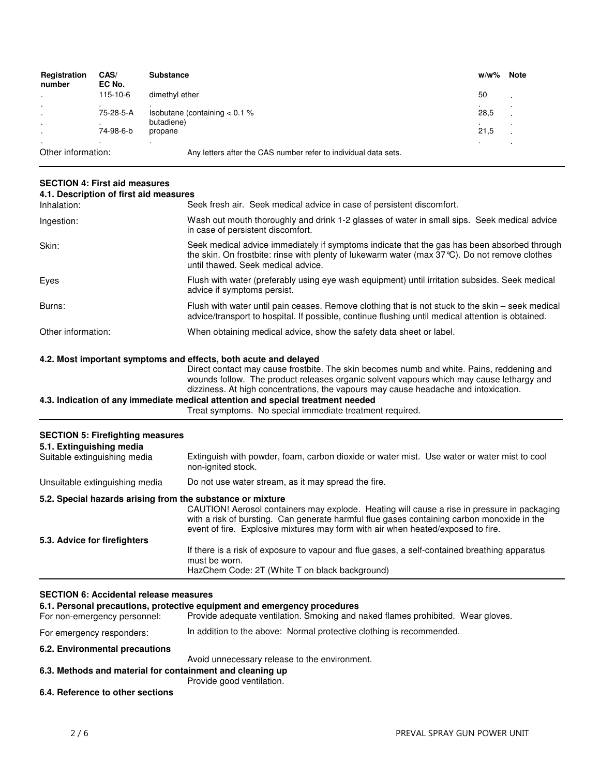| Registration<br>number        | CAS/<br>EC No. | <b>Substance</b>                                                | w/w% | <b>Note</b> |
|-------------------------------|----------------|-----------------------------------------------------------------|------|-------------|
| $\cdot$                       | 115-10-6       | dimethyl ether                                                  | 50   | - 1         |
| $\blacksquare$                | 75-28-5-A      | Isobutane (containing $< 0.1$ %                                 | 28,5 |             |
| $\blacksquare$<br>$\cdot$     | 74-98-6-b      | butadiene)<br>propane                                           | 21,5 |             |
| $\cdot$<br>Other information: |                | Any letters after the CAS number refer to individual data sets. |      |             |

#### **SECTION 4: First aid measures**

| Wash out mouth thoroughly and drink 1-2 glasses of water in small sips. Seek medical advice<br>Ingestion:<br>in case of persistent discomfort.<br>Skin:<br>the skin. On frostbite: rinse with plenty of lukewarm water (max $37^{\circ}$ C). Do not remove clothes<br>until thawed. Seek medical advice.<br>Flush with water (preferably using eye wash equipment) until irritation subsides. Seek medical<br>Eyes<br>advice if symptoms persist.<br>Flush with water until pain ceases. Remove clothing that is not stuck to the skin – seek medical<br>Burns:<br>advice/transport to hospital. If possible, continue flushing until medical attention is obtained.<br>Other information:<br>When obtaining medical advice, show the safety data sheet or label. | Inhalation: | Seek fresh air. Seek medical advice in case of persistent discomfort.                       |
|-------------------------------------------------------------------------------------------------------------------------------------------------------------------------------------------------------------------------------------------------------------------------------------------------------------------------------------------------------------------------------------------------------------------------------------------------------------------------------------------------------------------------------------------------------------------------------------------------------------------------------------------------------------------------------------------------------------------------------------------------------------------|-------------|---------------------------------------------------------------------------------------------|
|                                                                                                                                                                                                                                                                                                                                                                                                                                                                                                                                                                                                                                                                                                                                                                   |             |                                                                                             |
|                                                                                                                                                                                                                                                                                                                                                                                                                                                                                                                                                                                                                                                                                                                                                                   |             | Seek medical advice immediately if symptoms indicate that the gas has been absorbed through |
|                                                                                                                                                                                                                                                                                                                                                                                                                                                                                                                                                                                                                                                                                                                                                                   |             |                                                                                             |
|                                                                                                                                                                                                                                                                                                                                                                                                                                                                                                                                                                                                                                                                                                                                                                   |             |                                                                                             |
|                                                                                                                                                                                                                                                                                                                                                                                                                                                                                                                                                                                                                                                                                                                                                                   |             |                                                                                             |

#### **4.2. Most important symptoms and effects, both acute and delayed**

Direct contact may cause frostbite. The skin becomes numb and white. Pains, reddening and wounds follow. The product releases organic solvent vapours which may cause lethargy and dizziness. At high concentrations, the vapours may cause headache and intoxication.

### **4.3. Indication of any immediate medical attention and special treatment needed**

Treat symptoms. No special immediate treatment required.

| <b>SECTION 5: Firefighting measures</b><br>5.1. Extinguishing media |                                                                                                                                                                                                                                                                               |
|---------------------------------------------------------------------|-------------------------------------------------------------------------------------------------------------------------------------------------------------------------------------------------------------------------------------------------------------------------------|
| Suitable extinguishing media                                        | Extinguish with powder, foam, carbon dioxide or water mist. Use water or water mist to cool<br>non-ignited stock.                                                                                                                                                             |
| Unsuitable extinguishing media                                      | Do not use water stream, as it may spread the fire.                                                                                                                                                                                                                           |
| 5.2. Special hazards arising from the substance or mixture          | CAUTION! Aerosol containers may explode. Heating will cause a rise in pressure in packaging<br>with a risk of bursting. Can generate harmful flue gases containing carbon monoxide in the<br>event of fire. Explosive mixtures may form with air when heated/exposed to fire. |
| 5.3. Advice for firefighters                                        | If there is a risk of exposure to vapour and flue gases, a self-contained breathing apparatus<br>must be worn.<br>HazChem Code: 2T (White T on black background)                                                                                                              |

# **SECTION 6: Accidental release measures**

| For non-emergency personnel:                              | 6.1. Personal precautions, protective equipment and emergency procedures<br>Provide adequate ventilation. Smoking and naked flames prohibited. Wear gloves. |
|-----------------------------------------------------------|-------------------------------------------------------------------------------------------------------------------------------------------------------------|
| For emergency responders:                                 | In addition to the above: Normal protective clothing is recommended.                                                                                        |
| 6.2. Environmental precautions                            |                                                                                                                                                             |
|                                                           | Avoid unnecessary release to the environment.                                                                                                               |
| 6.3. Methods and material for containment and cleaning up |                                                                                                                                                             |
|                                                           | Provide good ventilation.                                                                                                                                   |
| 6.4. Reference to other sections                          |                                                                                                                                                             |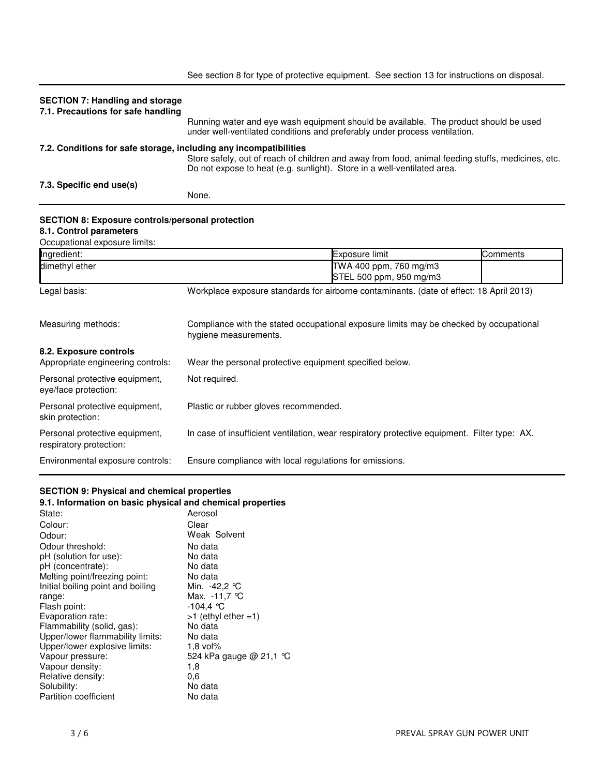|                                                                   | See section 8 for type of protective equipment. See section 13 for instructions on disposal.                                                                                 |
|-------------------------------------------------------------------|------------------------------------------------------------------------------------------------------------------------------------------------------------------------------|
| <b>SECTION 7: Handling and storage</b>                            |                                                                                                                                                                              |
| 7.1. Precautions for safe handling                                |                                                                                                                                                                              |
|                                                                   | Running water and eye wash equipment should be available. The product should be used<br>under well-ventilated conditions and preferably under process ventilation.           |
| 7.2. Conditions for safe storage, including any incompatibilities |                                                                                                                                                                              |
|                                                                   | Store safely, out of reach of children and away from food, animal feeding stuffs, medicines, etc.<br>Do not expose to heat (e.g. sunlight). Store in a well-ventilated area. |
| 7.3. Specific end use(s)                                          |                                                                                                                                                                              |
|                                                                   | None.                                                                                                                                                                        |
|                                                                   |                                                                                                                                                                              |

#### **SECTION 8: Exposure controls/personal protection**

#### **8.1. Control parameters**

Occupational exposure limits:

| Ingredient:                                               |                                                         | Exposure limit                                                                               | Comments |
|-----------------------------------------------------------|---------------------------------------------------------|----------------------------------------------------------------------------------------------|----------|
| dimethyl ether                                            |                                                         | TWA 400 ppm, 760 mg/m3                                                                       |          |
|                                                           |                                                         | STEL 500 ppm, 950 mg/m3                                                                      |          |
| Legal basis:                                              |                                                         | Workplace exposure standards for airborne contaminants. (date of effect: 18 April 2013)      |          |
| Measuring methods:                                        | hygiene measurements.                                   | Compliance with the stated occupational exposure limits may be checked by occupational       |          |
| 8.2. Exposure controls                                    |                                                         |                                                                                              |          |
| Appropriate engineering controls:                         | Wear the personal protective equipment specified below. |                                                                                              |          |
| Personal protective equipment,<br>eye/face protection:    | Not required.                                           |                                                                                              |          |
| Personal protective equipment,<br>skin protection:        | Plastic or rubber gloves recommended.                   |                                                                                              |          |
| Personal protective equipment,<br>respiratory protection: |                                                         | In case of insufficient ventilation, wear respiratory protective equipment. Filter type: AX. |          |
| Environmental exposure controls:                          | Ensure compliance with local regulations for emissions. |                                                                                              |          |

# **SECTION 9: Physical and chemical properties**

| 9.1. Information on basic physical and chemical properties |                        |
|------------------------------------------------------------|------------------------|
| State:                                                     | Aerosol                |
| Colour:                                                    | Clear                  |
| Odour:                                                     | Weak Solvent           |
| Odour threshold:                                           | No data                |
| pH (solution for use):                                     | No data                |
| pH (concentrate):                                          | No data                |
| Melting point/freezing point:                              | No data                |
| Initial boiling point and boiling                          | Min. -42,2 ℃           |
| range:                                                     | Max. -11,7 °C          |
| Flash point:                                               | -104,4 ℃               |
| Evaporation rate:                                          | $>1$ (ethyl ether =1)  |
| Flammability (solid, gas):                                 | No data                |
| Upper/lower flammability limits:                           | No data                |
| Upper/lower explosive limits:                              | $1.8$ vol%             |
| Vapour pressure:                                           | 524 kPa gauge @ 21,1 ℃ |
| Vapour density:                                            | 1,8                    |
| Relative density:                                          | 0.6                    |
| Solubility:                                                | No data                |
| Partition coefficient                                      | No data                |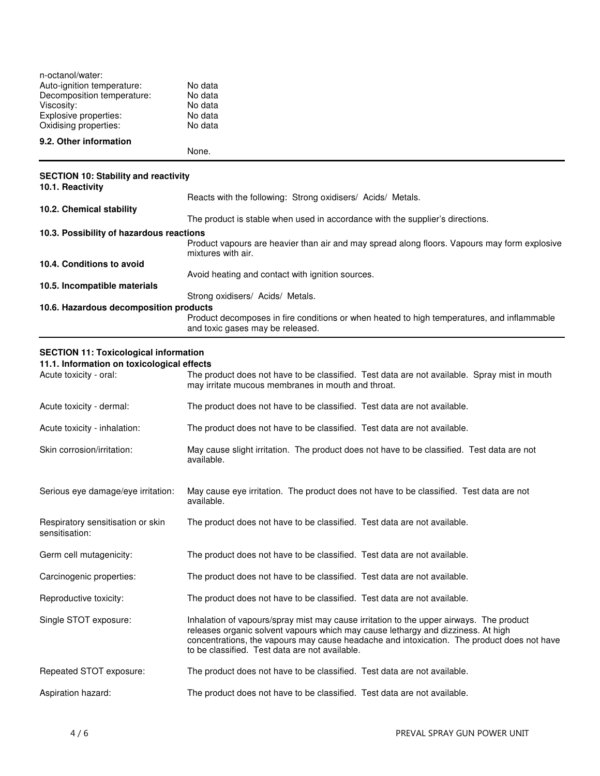| n-octanol/water:                            |                                                                                                                    |
|---------------------------------------------|--------------------------------------------------------------------------------------------------------------------|
| Auto-ignition temperature:                  | No data                                                                                                            |
| Decomposition temperature:                  | No data                                                                                                            |
| Viscosity:                                  | No data                                                                                                            |
| Explosive properties:                       | No data                                                                                                            |
| Oxidising properties:                       | No data                                                                                                            |
| 9.2. Other information                      |                                                                                                                    |
|                                             | None.                                                                                                              |
| <b>SECTION 10: Stability and reactivity</b> |                                                                                                                    |
| 10.1. Reactivity                            |                                                                                                                    |
|                                             | Reacts with the following: Strong oxidisers/ Acids/ Metals.                                                        |
| 10.2. Chemical stability                    |                                                                                                                    |
|                                             | The product is stable when used in accordance with the supplier's directions.                                      |
| 10.3. Possibility of hazardous reactions    |                                                                                                                    |
|                                             | Product vapours are heavier than air and may spread along floors. Vapours may form explosive<br>mixtures with air. |
| 10.4. Conditions to avoid                   |                                                                                                                    |
|                                             | Avoid heating and contact with ignition sources.                                                                   |
| 10.5. Incompatible materials                |                                                                                                                    |
|                                             | Strong oxidisers/ Acids/ Metals.                                                                                   |
| 10 C. Hozardous decemposition products      |                                                                                                                    |

#### **10.6. Hazardous decomposition products** Product decomposes in fire conditions or when heated to high temperatures, and inflammable and toxic gases may be released.

# **SECTION 11: Toxicological information**

**11.1. Information on toxicological effects**

| Acute toxicity - oral:                              | The product does not have to be classified. Test data are not available. Spray mist in mouth<br>may irritate mucous membranes in mouth and throat.                                                                                                                                                                          |
|-----------------------------------------------------|-----------------------------------------------------------------------------------------------------------------------------------------------------------------------------------------------------------------------------------------------------------------------------------------------------------------------------|
| Acute toxicity - dermal:                            | The product does not have to be classified. Test data are not available.                                                                                                                                                                                                                                                    |
| Acute toxicity - inhalation:                        | The product does not have to be classified. Test data are not available.                                                                                                                                                                                                                                                    |
| Skin corrosion/irritation:                          | May cause slight irritation. The product does not have to be classified. Test data are not<br>available.                                                                                                                                                                                                                    |
| Serious eye damage/eye irritation:                  | May cause eye irritation. The product does not have to be classified. Test data are not<br>available.                                                                                                                                                                                                                       |
| Respiratory sensitisation or skin<br>sensitisation: | The product does not have to be classified. Test data are not available.                                                                                                                                                                                                                                                    |
| Germ cell mutagenicity:                             | The product does not have to be classified. Test data are not available.                                                                                                                                                                                                                                                    |
| Carcinogenic properties:                            | The product does not have to be classified. Test data are not available.                                                                                                                                                                                                                                                    |
| Reproductive toxicity:                              | The product does not have to be classified. Test data are not available.                                                                                                                                                                                                                                                    |
| Single STOT exposure:                               | Inhalation of vapours/spray mist may cause irritation to the upper airways. The product<br>releases organic solvent vapours which may cause lethargy and dizziness. At high<br>concentrations, the vapours may cause headache and intoxication. The product does not have<br>to be classified. Test data are not available. |
| Repeated STOT exposure:                             | The product does not have to be classified. Test data are not available.                                                                                                                                                                                                                                                    |
| Aspiration hazard:                                  | The product does not have to be classified. Test data are not available.                                                                                                                                                                                                                                                    |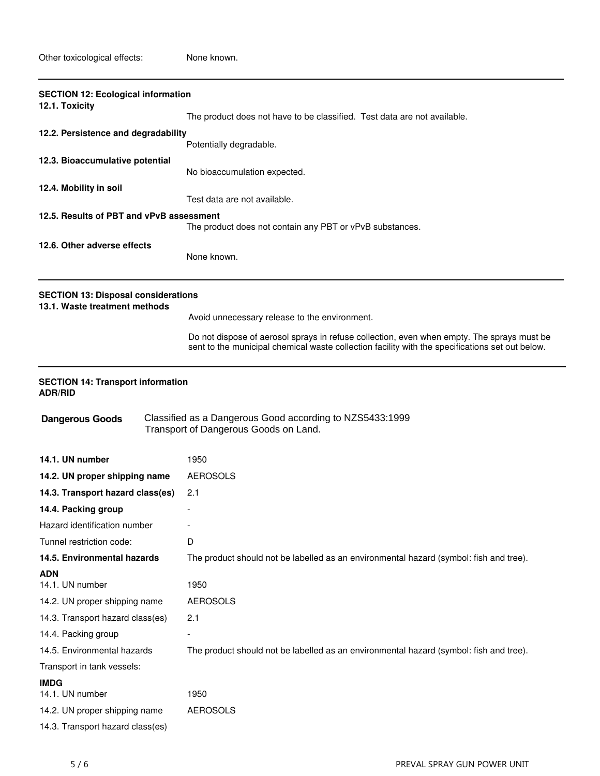| <b>SECTION 12: Ecological information</b><br>12.1. Toxicity                 |                                                                                                                                                                                               |  |
|-----------------------------------------------------------------------------|-----------------------------------------------------------------------------------------------------------------------------------------------------------------------------------------------|--|
|                                                                             | The product does not have to be classified. Test data are not available.                                                                                                                      |  |
| 12.2. Persistence and degradability                                         | Potentially degradable.                                                                                                                                                                       |  |
| 12.3. Bioaccumulative potential                                             | No bioaccumulation expected.                                                                                                                                                                  |  |
| 12.4. Mobility in soil                                                      | Test data are not available.                                                                                                                                                                  |  |
| 12.5. Results of PBT and vPvB assessment                                    | The product does not contain any PBT or vPvB substances.                                                                                                                                      |  |
| 12.6. Other adverse effects                                                 | None known.                                                                                                                                                                                   |  |
| <b>SECTION 13: Disposal considerations</b><br>13.1. Waste treatment methods |                                                                                                                                                                                               |  |
|                                                                             | Avoid unnecessary release to the environment.                                                                                                                                                 |  |
|                                                                             | Do not dispose of aerosol sprays in refuse collection, even when empty. The sprays must be<br>sent to the municipal chemical waste collection facility with the specifications set out below. |  |
| <b>SECTION 14: Transport information</b><br><b>ADR/RID</b>                  |                                                                                                                                                                                               |  |
| <b>Dangerous Goods</b>                                                      | Classified as a Dangerous Good according to NZS5433:1999<br>Transport of Dangerous Goods on Land.                                                                                             |  |
| 14.1. UN number                                                             | 1950                                                                                                                                                                                          |  |
| 14.2. UN proper shipping name                                               | <b>AEROSOLS</b>                                                                                                                                                                               |  |
| 14.3. Transport hazard class(es)                                            | 2.1                                                                                                                                                                                           |  |
| 14.4. Packing group                                                         |                                                                                                                                                                                               |  |
| Hazard identification number                                                |                                                                                                                                                                                               |  |
| Tunnel restriction code:                                                    | D                                                                                                                                                                                             |  |
| 14.5. Environmental hazards                                                 | The product should not be labelled as an environmental hazard (symbol: fish and tree).                                                                                                        |  |
| <b>ADN</b>                                                                  |                                                                                                                                                                                               |  |
| 14.1. UN number                                                             | 1950                                                                                                                                                                                          |  |
| 14.2. UN proper shipping name                                               | <b>AEROSOLS</b>                                                                                                                                                                               |  |
| 14.3. Transport hazard class(es)                                            | 2.1                                                                                                                                                                                           |  |
| 14.4. Packing group                                                         |                                                                                                                                                                                               |  |
| 14.5. Environmental hazards                                                 | The product should not be labelled as an environmental hazard (symbol: fish and tree).                                                                                                        |  |
| Transport in tank vessels:                                                  |                                                                                                                                                                                               |  |
| <b>IMDG</b><br>14.1. UN number                                              | 1950                                                                                                                                                                                          |  |
| 14.2. UN proper shipping name                                               | <b>AEROSOLS</b>                                                                                                                                                                               |  |
| 14.3. Transport hazard class(es)                                            |                                                                                                                                                                                               |  |